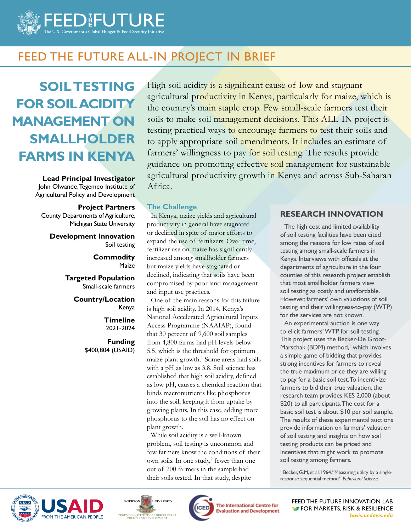

# FEED THE FUTURE ALL-IN PROJECT IN BRIEF

# **SOIL TESTING FOR SOIL ACIDITY MANAGEMENT ON SMALLHOLDER FARMS IN KENYA**

**Lead Principal Investigator** John Olwande, Tegemeo Institute of Agricultural Policy and Development

#### **Project Partners**

County Departments of Agriculture, Michigan State University

**Development Innovation** Soil testing

#### **Commodity** Maize

**Targeted Population** Small-scale farmers

> **Country/Location** Kenya

> > **Timeline** 2021-2024

**Funding** \$400,804 (USAID)

High soil acidity is a significant cause of low and stagnant agricultural productivity in Kenya, particularly for maize, which is the country's main staple crop. Few small-scale farmers test their soils to make soil management decisions. This ALL-IN project is testing practical ways to encourage farmers to test their soils and to apply appropriate soil amendments. It includes an estimate of farmers' willingness to pay for soil testing. The results provide guidance on promoting effective soil management for sustainable agricultural productivity growth in Kenya and across Sub-Saharan Africa.

#### **The Challenge**

In Kenya, maize yields and agricultural productivity in general have stagnated or declined in spite of major efforts to expand the use of fertilizers. Over time, fertilizer use on maize has significantly increased among smallholder farmers but maize yields have stagnated or declined, indicating that soils have been compromised by poor land management and input use practices.

One of the main reasons for this failure is high soil acidity. In 2014, Kenya's National Accelerated Agricultural Inputs Access Programme (NAAIAP), found that 30 percent of 9,600 soil samples from 4,800 farms had pH levels below 5.5, which is the threshold for optimum maize plant growth.<sup>1</sup> Some areas had soils with a pH as low as 3.8. Soil science has established that high soil acidity, defined as low pH, causes a chemical reaction that binds macronutrients like phosphorus into the soil, keeping it from uptake by growing plants. In this case, adding more phosphorus to the soil has no effect on plant growth.

While soil acidity is a well-known problem, soil testing is uncommon and few farmers know the conditions of their own soils. In one study,<sup>2</sup> fewer than one out of 200 farmers in the sample had their soils tested. In that study, despite

#### **RESEARCH INNOVATION**

The high cost and limited availability of soil testing facilities have been cited among the reasons for low rates of soil testing among small-scale farmers in Kenya. Interviews with officials at the departments of agriculture in the four counties of this research project establish that most smallholder farmers view soil testing as costly and unaffordable. However, farmers' own valuations of soil testing and their willingness-to-pay (WTP) for the services are not known.

An experimental auction is one way to elicit farmers' WTP for soil testing. This project uses the Becker-De Groot-Marschak (BDM) method,<sup>1</sup> which involves a simple game of bidding that provides strong incentives for farmers to reveal the true maximum price they are willing to pay for a basic soil test. To incentivize farmers to bid their true valuation, the research team provides KES 2,000 (about \$20) to all participants. The cost for a basic soil test is about \$10 per soil sample. The results of these experimental auctions provide information on farmers' valuation of soil testing and insights on how soil testing products can be priced and incentives that might work to promote soil testing among farmers.

<sup>1</sup> Becker, G.M, et al. 1964. "Measuring utility by a singleresponse sequential method." *Behavioral Science.* 







The International Centre for **Evaluation and Development**  FEED THE FUTURE INNOVATION LAB **FOR MARKETS, RISK & RESILIENCE** *basis.ucdavis.edu*